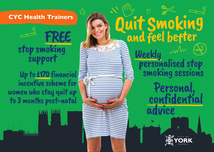CYC Health Trainers<br>FREE **REE and feel better** stop smoking support

Weekly

 personalised stop smoking sessions

Personal,

advice

confidential

 Up to £170 financial incentive scheme for women who stay quit up to 3 months post-natal

**LOOP MAN**